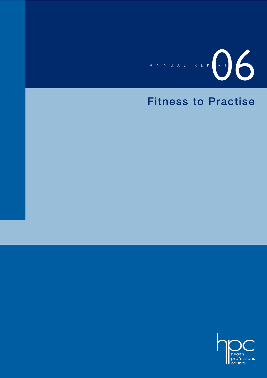

### **Fitness to Practise**

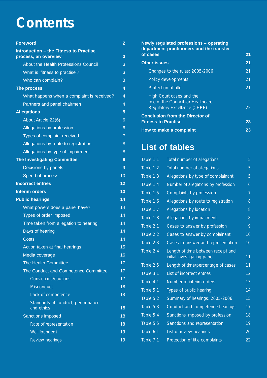## **Contents**

| <b>Foreword</b>                                                       | $\overline{2}$ |
|-----------------------------------------------------------------------|----------------|
| <b>Introduction - the Fitness to Practise</b><br>process, an overview | 3              |
| About the Health Professions Council                                  | 3              |
| What is 'fitness to practise'?                                        | 3              |
| Who can complain?                                                     | 3              |
| The process                                                           | 4              |
| What happens when a complaint is received?                            | $\overline{4}$ |
| Partners and panel chairmen                                           | 4              |
| <b>Allegations</b>                                                    | 5              |
| About Article 22(6)                                                   | 6              |
| Allegations by profession                                             | 6              |
| Types of complaint received                                           | $\overline{7}$ |
| Allegations by route to registration                                  | 8              |
| Allegations by type of impairment                                     | 8              |
| <b>The Investigating Committee</b>                                    | 9              |
| Decisions by panels                                                   | 9              |
| Speed of process                                                      | 10             |
| <b>Incorrect entries</b>                                              | 12             |
| <b>Interim orders</b>                                                 | 13             |
| <b>Public hearings</b>                                                | 14             |
| What powers does a panel have?                                        | 14             |
| Types of order imposed                                                | 14             |
| Time taken from allegation to hearing                                 | 14             |
| Days of hearing                                                       | 14             |
| Costs                                                                 | 14             |
| Action taken at final hearings                                        | 15             |
| Media coverage                                                        | 16             |
| The Health Committee                                                  | 17             |
| The Conduct and Competence Committee                                  | 17             |
| Convictions/cautions                                                  | 17             |
| <b>Misconduct</b>                                                     | 18             |
| Lack of competence                                                    | 18             |
| Standards of conduct, performance<br>and ethics                       | 18             |
| <b>Sanctions imposed</b>                                              | 18             |
| Rate of representation                                                | 18             |
| Well founded?                                                         | 19             |
| Review hearings                                                       | 19             |

#### **Newly regulated professions – operating department practitioners and the transfer of cases** 21 **Other issues 21** Changes to the rules: 2005-2006 21 Policy developments 21 Protection of title 21 High Court cases and the role of the Council for Healthcare Regulatory Excellence (CHRE) 22 **Conclusion from the Director of Fitness to Practise 23 How to make a complaint 23**

### **List of tables**

| Table 1.1   | Total number of allegations                                       | 5              |
|-------------|-------------------------------------------------------------------|----------------|
| Table 1.2   | Total number of allegations                                       | 5              |
| Table 1.3   | Allegations by type of complainant                                | 5              |
| Table 1.4   | Number of allegations by profession                               | 6              |
| Table 1.5   | Complaints by profession                                          | $\overline{7}$ |
| Table 1.6   | Allegations by route to registration                              | 8              |
| Table 1.7   | Allegations by location                                           | 8              |
| Table 1.8   | Allegations by impairment                                         | 8              |
| Table 2.1   | Cases to answer by profession                                     | 9              |
| Table 2.2   | Cases to answer by complainant                                    | 10             |
| Table $2.3$ | Cases to answer and representation                                | 10             |
| Table 2.4   | Length of time between receipt and<br>initial investigating panel | 11             |
| Table 2.5   | Length of time/percentage of cases                                | 11             |
| Table 3.1   | List of incorrect entries                                         | 12             |
| Table 4.1   | Number of interim orders                                          | 13             |
| Table 5.1   | Types of public hearing                                           | 14             |
| Table 5.2   | Summary of hearings: 2005-2006                                    | 15             |
| Table 5.3   | Conduct and competence hearings                                   | 17             |
| Table 5.4   | Sanctions imposed by profession                                   | 18             |
| Table 5.5   | Sanctions and representation                                      | 19             |
| Table 6.1   | List of review hearings                                           | 20             |
| Table 7.1   | Protection of title complaints                                    | 22             |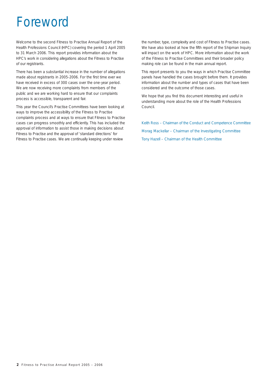### Foreword

Welcome to the second Fitness to Practise Annual Report of the Health Professions Council (HPC) covering the period 1 April 2005 to 31 March 2006. This report provides information about the HPC's work in considering allegations about the Fitness to Practise of our registrants.

There has been a substantial increase in the number of allegations made about registrants in 2005-2006. For the first time ever we have received in excess of 300 cases over the one-year period. We are now receiving more complaints from members of the public and we are working hard to ensure that our complaints process is accessible, transparent and fair.

This year the Council's Practise Committees have been looking at ways to improve the accessibility of the Fitness to Practise complaints process and at ways to ensure that Fitness to Practise cases can progress smoothly and efficiently. This has included the approval of information to assist those in making decisions about Fitness to Practise and the approval of 'standard directions' for Fitness to Practise cases. We are continually keeping under review

the number, type, complexity and cost of Fitness to Practise cases. We have also looked at how the fifth report of the Shipman Inquiry will impact on the work of HPC. More information about the work of the Fitness to Practise Committees and their broader policy making role can be found in the main annual report.

This report presents to you the ways in which Practise Committee panels have handled the cases brought before them. It provides information about the number and types of cases that have been considered and the outcome of those cases.

We hope that you find this document interesting and useful in understanding more about the role of the Health Professions Council.

Keith Ross – Chairman of the Conduct and Competence Committee Morag Mackellar – Chairman of the Investigating Committee Tony Hazell – Chairman of the Health Committee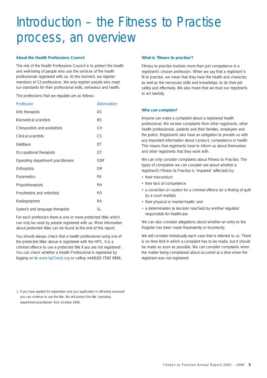## Introduction – the Fitness to Practise process, an overview

#### **About the Health Professions Council**

The role of the Health Professions Council is to protect the health and well-being of people who use the services of the health professionals registered with us. At the moment, we register members of 13 professions. We only register people who meet our standards for their professional skills, behaviour and health.

The professions that we regulate are as follows:

| Profession                         | Abbreviation |
|------------------------------------|--------------|
| Arts therapists                    | AS           |
| <b>Biomedical scientists</b>       | <b>BS</b>    |
| Chiropodists and podiatrists       | <b>CH</b>    |
| Clinical scientists                | CS           |
| <b>Dietitians</b>                  | DT           |
| Occupational therapists            | <b>OT</b>    |
| Operating department practitioners | <b>ODP</b>   |
| Orthoptists                        | <b>OR</b>    |
| Paramedics                         | <b>PA</b>    |
| Physiotherapists                   | PH           |
| Prosthetists and orthotists        | PO           |
| Radiographers                      | <b>RA</b>    |
| Speech and language therapists     | <b>SL</b>    |

For each profession there is one or more protected titles which can only be used by people registered with us. More information about protected titles can be found at the end of this report.

You should always check that a health professional using one of the protected titles above is registered with the HPC. It is a criminal offence to use a protected title if you are not registered<sup>1</sup>. You can check whether a Health Professional is registered by logging on to www.hpCheck.org or calling +44(0)20 7582 0866.

1. If you have applied for registration and your application is still being assessed you can continue to use the title. We will protect the title 'operating department practitioner' from October 2006.

#### **What is 'fitness to practise'?**

Fitness to practise involves more than just competence in a registrant's chosen profession. When we say that a registrant is fit to practise, we mean that they have the health and character, as well as the necessary skills and knowledge, to do their job safely and effectively. We also mean that we trust our registrants to act lawfully.

#### **Who can complain?**

Anyone can make a complaint about a registered health professional. We receive complaints from other registrants, other health professionals, patients and their families, employers and the police. Registrants also have an obligation to provide us with any important information about conduct, competence or health. This means that registrants have to inform us about themselves and other registrants that they work with.

We can only consider complaints about Fitness to Practise. The types of complaints we can consider are about whether a registrant's Fitness to Practise is 'impaired' (affected) by:

- their misconduct
- their lack of competence
- a conviction or caution for a criminal offence (or a finding of guilt by a court martial);
- their physical or mental health; and
- a determination (a decision reached) by another regulator responsible for healthcare.

We can also consider allegations about whether an entry to the Register has been made fraudulently or incorrectly.

We will consider individually each case that is referred to us. There is no time limit in which a complaint has to be made, but it should be made as soon as possible. We can consider complaints when the matter being complained about occurred at a time when the registrant was not registered.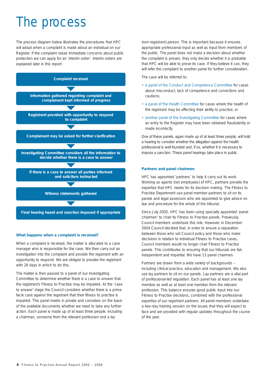## The process

The process diagram below illustrates the procedures that HPC will adopt when a complaint is made about an individual on our Register. If the complaint raises immediate concerns about public protection we can apply for an 'interim order'. Interim orders are explained later in this report.



#### **What happens when a complaint is received?**

When a complaint is received, the matter is allocated to a case manager who is responsible for the case. We then carry out an investigation into the complaint and provide the registrant with an opportunity to respond. We are obliged to provide the registrant with 28 days in which to do this.

The matter is then passed to a panel of our Investigating Committee to determine whether there is a case to answer that the registrant's Fitness to Practise may be impaired. At the 'case to answer' stage the Council considers whether there is a *prima facie* case against the registrant that their fitness to practise is impaired. This panel meets in private and considers on the basis of the available documents whether we need to take any further action. Each panel is made up of at least three people, including a chairman, someone from the relevant profession and a lay

(non-registrant) person. This is important because it ensures appropriate professional input as well as input from members of the public. The panel does not make a decision about whether the complaint is proven, they only decide whether it is probable that HPC will be able to prove its case. If they believe it can, they will refer the complaint to another panel for further consideration.

The case will be referred to:

- a panel of the Conduct and Competence Committee for cases about misconduct, lack of competence and convictions and cautions;
- a panel of the Health Committee for cases where the health of the registrant may be affecting their ability to practise; or
- another panel of the Investigating Committee for cases where an entry to the Register may have been obtained fraudulently or made incorrectly.

One of these panels, again made up of at least three people, will hold a hearing to consider whether the allegation against the health professional is well founded and, if so, whether it is necessary to impose a sanction. These panel hearings take place in public.

#### **Partners and panel chairmen**

HPC has appointed 'partners' to help it carry out its work. Working as agents (not employees) of HPC, partners provide the expertise that HPC needs for its decision making. The Fitness to Practise Department use panel member partners to sit on its panels and legal assessors who are appointed to give advice on law and procedure for the whole of the tribunal.

Since July 2005, HPC has been using specially appointed 'panel chairmen' to chair its Fitness to Practise panels. Previously, Council members undertook this role. However, in December 2004 Council decided that, in order to ensure a separation between those who set Council policy and those who make decisions in relation to individual Fitness to Practise cases, Council members would no longer chair Fitness to Practise panels. This contributes to ensuring that our tribunals are fair, independent and impartial. We have 13 panel chairmen.

Partners are drawn from a wide variety of backgrounds – including clinical practice, education and management. We also use lay partners to sit on our panels. Lay partners are a vital part of professional-led regulation. Each panel has at least one lay member as well as at least one member from the relevant profession. This balance ensures good public input into our Fitness to Practise decisions, combined with the professional expertise of our registrant partners. All panel members undertake a two-day training session on the issues that they will expect to face and are provided with regular updates throughout the course of the year.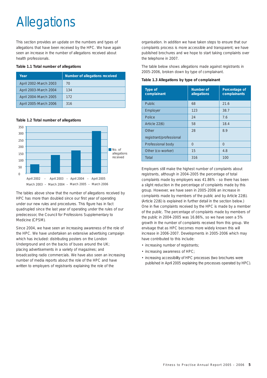# **Allegations**

This section provides an update on the numbers and types of allegations that have been received by the HPC. We have again seen an increase in the number of allegations received about health professionals.

#### **Table 1.1 Total number of allegations**

| Year                  | Number of allegations received |
|-----------------------|--------------------------------|
| April 2002-March 2003 | 70                             |
| April 2003-March 2004 | 134                            |
| April 2004-March 2005 | 172                            |
| April 2005-March 2006 | 316                            |

**Table 1.2 Total number of allegations**



The tables above show that the number of allegations received by HPC has more than doubled since our first year of operating under our new rules and procedures. This figure has in fact quadrupled since the last year of operating under the rules of our predecessor, the Council for Professions Supplementary to Medicine (CPSM).

Since 2004, we have seen an increasing awareness of the role of the HPC. We have undertaken an extensive advertising campaign which has included: distributing posters on the London Underground and on the backs of buses around the UK; placing advertisements in a variety of magazines; and broadcasting radio commercials. We have also seen an increasing number of media reports about the role of the HPC and have written to employers of registrants explaining the role of the

organisation. In addition we have taken steps to ensure that our complaints process is more accessible and transparent; we have published brochures and we hope to start taking complaints over the telephone in 2007.

The table below shows allegations made against registrants in 2005-2006, broken down by type of complainant.

**Table 1.3 Allegations by type of complainant**

| Type of<br>complainant  | Number of<br>allegations | Percentage of<br>complainants |
|-------------------------|--------------------------|-------------------------------|
| <b>Public</b>           | 68                       | 21.6                          |
| Employer                | 123                      | 38.7                          |
| Police                  | 24                       | 7.6                           |
| Article 22(6)           | 58                       | 18.4                          |
| Other                   | 28                       | 8.9                           |
| registrant/professional |                          |                               |
| Professional body       | $\Omega$                 | $\Omega$                      |
| Other (co-worker)       | 15                       | 4.8                           |
| Total                   | 316                      | 100                           |

Employers still make the highest number of complaints about registrants, although in 2004-2005 the percentage of total complaints made by employers was 41.86% - so there has been a slight reduction in the percentage of complaints made by this group. However, we have seen in 2005-2006 an increase in complaints made by members of the public and by Article 22(6). (Article 22(6) is explained in further detail in the section below.) One in five complaints received by the HPC is made by a member of the public. The percentage of complaints made by members of the public in 2004-2005 was 16.86%, so we have seen a 5% growth in the number of complaints received from this group. We envisage that as HPC becomes more widely known this will increase in 2006-2007. Developments in 2005-2006 which may have contributed to this include:

- increasing number of registrants;
- increasing awareness of HPC;
- increasing accessibility of HPC processes (two brochures were published in April 2005 explaining the processes operated by HPC).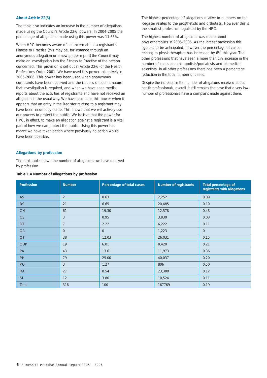#### **About Article 22(6)**

The table also indicates an increase in the number of allegations made using the Council's Article 22(6) powers. In 2004-2005 the percentage of allegations made using this power was 11.63%.

When HPC becomes aware of a concern about a registrant's Fitness to Practise (this may be, for instance through an anonymous allegation or a newspaper report) the Council may make an investigation into the Fitness to Practise of the person concerned. This provision is set out in Article 22(6) of the Health Professions Order 2001. We have used this power extensively in 2005-2006. This power has been used when anonymous complaints have been received and the issue is of such a nature that investigation is required, and when we have seen media reports about the activities of registrants and have not received an allegation in the usual way. We have also used this power when it appears that an entry in the Register relating to a registrant may have been incorrectly made. This shows that we will actively use our powers to protect the public. We believe that the power for HPC, in effect, to make an allegation against a registrant is a vital part of how we can protect the public. Using this power has meant we have taken action where previously no action would have been possible.

The highest percentage of allegations relative to numbers on the Register relates to the prosthetists and orthotists. However this is the smallest profession regulated by the HPC.

The highest number of allegations was made about physiotherapists in 2005-2006. As the largest profession this figure is to be anticipated, however the percentage of cases relating to physiotherapists has increased by 6% this year. The other professions that have seen a more than 1% increase in the number of cases are chiropodists/podiatrists and biomedical scientists. In all other professions there has been a percentage reduction in the total number of cases.

Despite the increase in the number of allegations received about health professionals, overall, it still remains the case that a very low number of professionals have a complaint made against them.

#### **Allegations by profession**

The next table shows the number of allegations we have received by profession.

| Profession | <b>Number</b>  | Percentage of total cases | Number of registrants | Total percentage of<br>registrants with allegations |
|------------|----------------|---------------------------|-----------------------|-----------------------------------------------------|
| <b>AS</b>  | $\overline{2}$ | 0.63                      | 2,252                 | 0.09                                                |
| <b>BS</b>  | 21             | 6.65                      | 20,485                | 0.10                                                |
| <b>CH</b>  | 61             | 19.30                     | 12,578                | 0.48                                                |
| CS         | 3              | 0.95                      | 3,830                 | 0.08                                                |
| <b>DT</b>  | $\overline{7}$ | 2.22                      | 6,222                 | 0.11                                                |
| <b>OR</b>  | $\overline{0}$ | $\overline{0}$            | 1,223                 | $\overline{0}$                                      |
| <b>OT</b>  | 38             | 12.03                     | 26,031                | 0.15                                                |
| <b>ODP</b> | 19             | 6.01                      | 8,420                 | 0.21                                                |
| <b>PA</b>  | 43             | 13.61                     | 11,973                | 0.36                                                |
| <b>PH</b>  | 79             | 25.00                     | 40,037                | 0.20                                                |
| PO         | 3              | 1.27                      | 806                   | 0.50                                                |
| <b>RA</b>  | 27             | 8.54                      | 23,388                | 0.12                                                |
| <b>SL</b>  | 12             | 3.80                      | 10,524                | 0.11                                                |
| Total      | 316            | 100                       | 167769                | 0.19                                                |

#### **Table 1.4 Number of allegations by profession**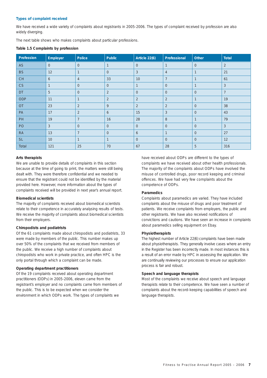#### **Types of complaint received**

We have received a wide variety of complaints about registrants in 2005-2006. The types of complaint received by profession are also widely diverging.

The next table shows who makes complaints about particular professions.

**Table 1.5 Complaints by profession**

| Profession | Employer       | Police         | Public         | Article 22(6)  | Professional   | <b>Other</b>   | Total          |
|------------|----------------|----------------|----------------|----------------|----------------|----------------|----------------|
| AS         | $\overline{0}$ | $\Omega$       |                | $\overline{0}$ | $\mathbf{1}$   | $\overline{0}$ | 2              |
| <b>BS</b>  | 12             | $\mathbf{1}$   | $\overline{0}$ | $\mathfrak{Z}$ | $\overline{4}$ | $\mathbf{1}$   | 21             |
| CH         | 6              | $\overline{4}$ | 33             | 10             | $\overline{7}$ |                | 61             |
| CS         | $\mathbf{1}$   | $\Omega$       | $\overline{0}$ | $\mathbf{1}$   | $\overline{0}$ | $\mathbf 1$    | $\overline{3}$ |
| DT         | 5              | $\overline{0}$ | $\overline{2}$ | $\overline{0}$ | $\overline{0}$ | $\overline{0}$ | $\overline{7}$ |
| ODP        | 11             | $\mathbf{1}$   | $\overline{2}$ | $\overline{2}$ | $\overline{2}$ | $\overline{1}$ | 19             |
| <b>OT</b>  | 23             | $\overline{2}$ | 9              | $\overline{2}$ | $\overline{2}$ | $\overline{0}$ | 38             |
| PA         | 17             | 2              | 6              | 15             | 3              | $\overline{0}$ | 43             |
| PH         | 19             | $\overline{7}$ | 16             | 28             | 8              | $\mathbf{1}$   | 79             |
| PO         | $\overline{3}$ | $\overline{0}$ | $\overline{0}$ | $\overline{0}$ | $\overline{0}$ | $\overline{0}$ | $\overline{3}$ |
| <b>RA</b>  | 13             | $\overline{7}$ | $\mathbf{0}$   | 6              | $\mathbf 1$    | $\overline{0}$ | 27             |
| <b>SL</b>  | 10             | $\mathbf{1}$   | $\mathbf{1}$   | $\overline{0}$ | $\Omega$       | $\overline{0}$ | 12             |
| Total      | 121            | 25             | 70             | 67             | 28             | 5              | 316            |

#### **Arts therapists**

We are unable to provide details of complaints in this section because at the time of going to print, the matters were still being dealt with. They were therefore confidential and we needed to ensure that the registrant could not be identified by the material provided here. However, more information about the types of complaints received will be provided in next year's annual report.

#### **Biomedical scientists**

The majority of complaints received about biomedical scientists relate to their competence in accurately analysing results of tests. We receive the majority of complaints about biomedical scientists from their employers.

#### **Chiropodists and podiatrists**

Of the 61 complaints made about chiropodists and podiatrists, 33 were made by members of the public. This number makes up over 50% of the complaints that we received from members of the public. We receive a high number of complaints about chiropodists who work in private practice, and often HPC is the only portal through which a complaint can be made.

#### **Operating department practitioners**

Of the 19 complaints received about operating department practitioners (ODPs) in 2005-2006, eleven came from the registrant's employer and no complaints came from members of the public. This is to be expected when we consider the environment in which ODPs work. The types of complaints we

have received about ODPs are different to the types of complaints we have received about other health professionals. The majority of the complaints about ODPs have involved the misuse of controlled drugs, poor record keeping and criminal offences. We have had very few complaints about the competence of ODPs.

#### **Paramedics**

Complaints about paramedics are varied. They have included complaints about the misuse of drugs and poor treatment of patients. We receive complaints from employers, the public and other registrants. We have also received notifications of convictions and cautions. We have seen an increase in complaints about paramedics selling equipment on Ebay.

#### **Physiotherapists**

The highest number of Article 22(6) complaints have been made about physiotherapists. They generally involve cases where an entry in the Register has been incorrectly made. In most instances this is a result of an error made by HPC in assessing the application. We are continually reviewing our processes to ensure our application process is fair and robust.

#### **Speech and language therapists**

Most of the complaints we receive about speech and language therapists relate to their competence. We have seen a number of complaints about the record-keeping capabilities of speech and language therapists.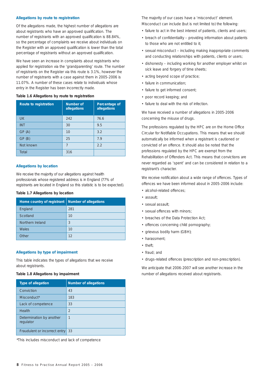#### **Allegations by route to registration**

Of the allegations made, the highest number of allegations are about registrants who have an approved qualification. The number of registrants with an approved qualification is 88.84%, so the percentage of complaints we receive about individuals on the Register with an approved qualification is lower than the total percentage of registrants without an approved qualification.

We have seen an increase in complaints about registrants who applied for registration via the 'grandparenting' route. The number of registrants on the Register via this route is 3.1%, however the number of registrants with a case against them in 2005-2006 is 11.07%. A number of these cases relate to individuals whose entry in the Register has been incorrectly made.

#### **Table 1.6 Allegations by route to registration**

| Route to registration | Number of<br>allegations | Percentage of<br>allegations |
|-----------------------|--------------------------|------------------------------|
| <b>UK</b>             | 242                      | 76.6                         |
| <b>INT</b>            | 30                       | 9.5                          |
| GP(A)                 | 10                       | 3.2                          |
| GP(B)                 | 25                       | 7.9                          |
| Not known             | 7                        | 2.2                          |
| Total                 | 316                      |                              |

#### **Allegations by location**

We receive the majority of our allegations against health professionals whose registered address is in England (77% of registrants are located in England so this statistic is to be expected).

#### **Table 1.7 Allegations by location**

| Home country of registrant | Number of allegations |
|----------------------------|-----------------------|
| England                    | 281                   |
| Scotland                   | 10                    |
| Northern Ireland           | 3                     |
| Wales                      | 10                    |
| Other                      | 12                    |

#### **Allegations by type of impairment**

This table indicates the types of allegations that we receive about registrants.

#### **Table 1.8 Allegations by impairment**

| <b>Type of allegation</b>             | Number of allegations |
|---------------------------------------|-----------------------|
| Conviction                            | 43                    |
| Misconduct <sup>*</sup>               | 183                   |
| Lack of competence                    | 33                    |
| Health                                | $\mathfrak{D}$        |
| Determination by another<br>regulator | $\mathbf{1}$          |
| Fraudulent or incorrect entry         | 33                    |

*\*This includes misconduct and lack of competence*

The majority of our cases have a 'misconduct' element. Misconduct can include (but is not limited to) the following:

- failure to act in the best interest of patients, clients and users;
- breach of confidentiality providing information about patients to those who are not entitled to it;
- sexual misconduct including making inappropriate comments and conducting relationships with patients, clients or users;
- dishonesty including working for another employer whilst on sick leave and forgery of time sheets;
- acting beyond scope of practice;
- failure in communication;
- failure to get informed consent;
- poor record keeping; and
- failure to deal with the risk of infection.

We have received a number of allegations in 2005-2006 concerning the misuse of drugs.

The professions regulated by the HPC are on the Home Office Circular for Notifiable Occupations. This means that we should automatically be informed when a registrant is cautioned or convicted of an offence. It should also be noted that the professions regulated by the HPC are exempt from the Rehabilitation of Offenders Act. This means that convictions are never regarded as 'spent' and can be considered in relation to a registrant's character.

We receive notification about a wide range of offences. Types of offences we have been informed about in 2005-2006 include:

- alcohol-related offences;
- assault;
- sexual assault;
- sexual offences with minors;
- breaches of the Data Protection Act;
- offences concerning child pornography;
- grievous bodily harm (GBH);
- harassment;
- theft;
- fraud; and
- drugs-related offences (prescription and non-prescription).

We anticipate that 2006-2007 will see another increase in the number of allegations received about registrants.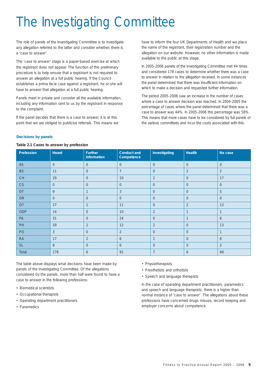# The Investigating Committee

The role of panels of the Investigating Committee is to investigate any allegation referred to the latter and consider whether, there is a 'case to answer'.

The 'case to answer' stage is a paper-based exercise at which the registrant does not appear. The function of this preliminary procedure is to help ensure that a registrant is not required to answer an allegation at a full public hearing. If the Council establishes a *prima facie* case against a registrant, he or she will have to answer that allegation at a full public hearing.

Panels meet in private and consider all the available information, including any information sent to us by the registrant in response to the complaint.

If the panel decides that there is a case to answer, it is at this point that we are obliged to publicise referrals. This means we have to inform the four UK Departments of Health and we place the name of the registrant, their registration number and the allegation on our website. However, no other information is made available to the public at this stage.

In 2005-2006 panels of the Investigating Committee met 44 times and considered 178 cases to determine whether there was a case to answer in relation to the allegation received. In some instances the panel determined that there was insufficient information on which to make a decision and requested further information.

The period 2005-2006 saw an increase in the number of cases where a case to answer decision was reached. In 2004-2005 the percentage of cases where the panel determined that there was a case to answer was 44%. In 2005-2006 this percentage was 58%. This means that more cases have to be considered by full panels of the various committees and incur the costs associated with this.

#### **Decisions by panels**

#### **Table 2.1 Cases to answer by profession**

| Profession | Heard          | Further<br>information | Conduct and<br>Competence | Investigating  | Health         | No case          |
|------------|----------------|------------------------|---------------------------|----------------|----------------|------------------|
| AS         | $\overline{0}$ | $\mathsf{O}\xspace$    | $\overline{0}$            | $\overline{0}$ | $\mathbf 0$    | $\boldsymbol{0}$ |
| <b>BS</b>  | 11             | $\overline{0}$         | $\overline{7}$            | $\overline{0}$ | $\overline{2}$ | $\overline{2}$   |
| CH         | 29             | $\mathbf{0}$           | 10                        | 2              | $\overline{0}$ | 17               |
| CS         | $\overline{0}$ | $\mathbf{0}$           | $\overline{0}$            | $\overline{0}$ | $\overline{0}$ | $\mathbf 0$      |
| <b>DT</b>  | 9              | $\mathbf{1}$           | $\mathfrak{Z}$            | $\overline{0}$ | $\overline{0}$ | 5                |
| <b>OR</b>  | $\overline{0}$ | $\overline{0}$         | $\overline{0}$            | $\overline{0}$ | $\overline{0}$ | $\overline{0}$   |
| <b>OT</b>  | 27             | $\mathbf{1}$           | 11                        | $\overline{0}$ | $\overline{2}$ | 13               |
| <b>ODP</b> | 14             | $\mathbf{0}$           | 10                        | $\overline{2}$ | $\overline{1}$ | $\mathbf{1}$     |
| PA         | 31             | $\mathbf{0}$           | 24                        | $\overline{0}$ | $\overline{1}$ | 6                |
| PH         | 29             | $\overline{2}$         | 12                        | 2              | $\overline{0}$ | 13               |
| PO         | $\overline{3}$ | $\overline{0}$         | 2                         | $\overline{0}$ | $\overline{0}$ | $\mathbf{1}$     |
| <b>RA</b>  | 17             | 2                      | 6                         | $\mathbf{1}$   | $\overline{0}$ | 8                |
| <b>SL</b>  | 8              | $\mathbf{0}$           | 6                         | $\overline{0}$ | $\overline{0}$ | $\overline{2}$   |
| Total      | 178            | 6                      | 91                        | $\overline{7}$ | 6              | 68               |

The table above displays what decisions have been made by panels of the Investigating Committee. Of the allegations considered by the panels, more than half were found to have a case to answer in the following professions:

- Biomedical scientists
- Occupational therapists
- Operating department practitioners
- Paramedics
- Physiotherapists
- Prosthetists and orthotists
- Speech and language therapists

In the case of operating department practitioners, paramedics and speech and language therapists, there is a higher than normal instance of 'case to answer'. The allegations about these professions have concerned drugs misuse, record keeping and employer concerns about competence.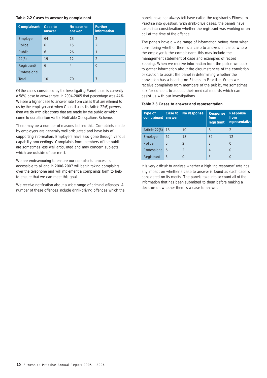#### **Table 2.2 Cases to answer by complainant**

| Complainant   | Case to<br>answer | No case to<br>answer | <b>Further</b><br>information |
|---------------|-------------------|----------------------|-------------------------------|
| Employer      | 64                | 13                   | $\overline{2}$                |
| Police        | 6                 | 15                   | $\overline{2}$                |
| <b>Public</b> | 6                 | 26                   | 1                             |
| 22(6)         | 19                | 12                   | $\overline{2}$                |
| Registrant/   | 6                 | $\overline{4}$       | $\Omega$                      |
| Professional  |                   |                      |                               |
| Total         | 101               | 70                   | 7                             |

Of the cases considered by the Investigating Panel, there is currently a 58% case to answer rate. In 2004-2005 that percentage was 44%. We see a higher case to answer rate from cases that are referred to us by the employer and when Council uses its Article 22(6) powers, than we do with allegations that are made by the public or which come to our attention via the Notifiable Occupations Scheme.

There may be a number of reasons behind this. Complaints made by employers are generally well articulated and have lots of supporting information. Employers have also gone through various capability proceedings. Complaints from members of the public are sometimes less well articulated and may concern subjects which are outside of our remit.

We are endeavouring to ensure our complaints process is accessible to all and in 2006-2007 will begin taking complaints over the telephone and will implement a complaints form to help to ensure that we can meet this goal.

We receive notification about a wide range of criminal offences. A number of these offences include drink-driving offences which the panels have not always felt have called the registrant's Fitness to Practise into question. With drink-drive cases, the panels have taken into consideration whether the registrant was working or on call at the time of the offence.

The panels have a wide range of information before them when considering whether there is a case to answer. In cases where the employer is the complainant, this may include the management statement of case and examples of record keeping. When we receive information from the police we seek to gather information about the circumstances of the conviction or caution to assist the panel in determining whether the conviction has a bearing on Fitness to Practise. When we receive complaints from members of the public, we sometimes ask for consent to access their medical records which can assist us with our investigations.

|  |  |  |  |  |  | Table 2.3 Cases to answer and representation |
|--|--|--|--|--|--|----------------------------------------------|
|--|--|--|--|--|--|----------------------------------------------|

| <b>Type of</b><br>complainant | Case to<br>answer | No response    | Response<br>from<br>registrant | Response<br>from<br>representative |
|-------------------------------|-------------------|----------------|--------------------------------|------------------------------------|
| Article 22(6)                 | 18                | 10             | 8                              | $\mathfrak{D}$                     |
| Employer                      | 62                | 18             | 32                             | 12                                 |
| Police                        | 5                 | $\mathfrak{D}$ | 3                              | 0                                  |
| Professional 6                |                   | $\overline{2}$ | 4                              | 0                                  |
| Registrant                    | 5                 | 0              | 5                              | $\Omega$                           |

It is very difficult to analyse whether a high 'no response' rate has any impact on whether a case to answer is found as each case is considered on its merits. The panels take into account all of the information that has been submitted to them before making a decision on whether there is a case to answer.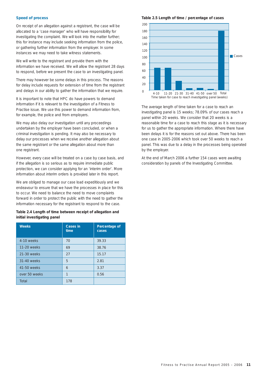#### **Speed of process**

On receipt of an allegation against a registrant, the case will be allocated to a 'case manager' who will have responsibility for investigating the complaint. We will look into the matter further; this for instance may include seeking information from the police, or gathering further information from the employer. In some instances we may need to take witness statements.

We will write to the registrant and provide them with the information we have received. We will allow the registrant 28 days to respond, before we present the case to an investigating panel.

There may however be some delays in this process. The reasons for delay include requests for extension of time from the registrant and delays in our ability to gather the information that we require.

It is important to note that HPC do have powers to demand information if it is relevant to the investigation of a Fitness to Practise issue. We use this power to demand information from, for example, the police and from employers.

We may also delay our investigation until any proceedings undertaken by the employer have been concluded, or when a criminal investigation is pending. It may also be necessary to delay our processes when we receive another allegation about the same registrant or the same allegation about more than one registrant.

However, every case will be treated on a case by case basis, and if the allegation is so serious as to require immediate public protection, we can consider applying for an 'interim order'. More information about interim orders is provided later in this report.

We are obliged to manage our case load expeditiously and we endeavour to ensure that we have the processes in place for this to occur. We need to balance the need to move complaints forward in order to protect the public with the need to gather the information necessary for the registrant to respond to the case.

#### **Table 2.4 Length of time between receipt of allegation and initial investigating panel**

| <b>Weeks</b>  | Cases in<br>time | Percentage of<br>cases |
|---------------|------------------|------------------------|
| 4-10 weeks    | 70               | 39.33                  |
| 11-20 weeks   | 69               | 38.76                  |
| 21-30 weeks   | 27               | 15.17                  |
| 31-40 weeks   | 5                | 2.81                   |
| 41-50 weeks   | 6                | 3.37                   |
| over 50 weeks | 1                | 0.56                   |
| Total         | 178              |                        |

**Table 2.5 Length of time / percentage of cases**



The average length of time taken for a case to reach an investigating panel is 15 weeks; 78.09% of our cases reach a panel within 20 weeks. We consider that 20 weeks is a reasonable time for a case to reach this stage as it is necessary for us to gather the appropriate information. Where there have been delays it is for the reasons set out above. There has been one case in 2005-2006 which took over 50 weeks to reach a panel. This was due to a delay in the processes being operated by the employer.

At the end of March 2006 a further 154 cases were awaiting consideration by panels of the Investigating Committee.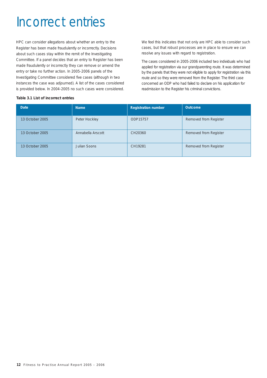## Incorrect entries

HPC can consider allegations about whether an entry to the Register has been made fraudulently or incorrectly. Decisions about such cases stay within the remit of the Investigating Committee. If a panel decides that an entry to Register has been made fraudulently or incorrectly they can remove or amend the entry or take no further action. In 2005-2006 panels of the Investigating Committee considered five cases (although in two instances the case was adjourned). A list of the cases considered is provided below. In 2004-2005 no such cases were considered.

We feel this indicates that not only are HPC able to consider such cases, but that robust processes are in place to ensure we can resolve any issues with regard to registration.

The cases considered in 2005-2006 included two individuals who had applied for registration via our grandparenting route. It was determined by the panels that they were not eligible to apply for registration via this route and so they were removed from the Register. The third case concerned an ODP who had failed to declare on his application for readmission to the Register his criminal convictions.

#### **Table 3.1 List of incorrect entries**

| <b>Date</b>     | <b>Name</b>       | <b>Registration number</b> | Outcome               |
|-----------------|-------------------|----------------------------|-----------------------|
| 13 October 2005 | Peter Hockley     | ODP15757                   | Removed from Register |
| 13 October 2005 | Annabella Arscott | CH20360                    | Removed from Register |
| 13 October 2005 | Julian Soons      | CH19281                    | Removed from Register |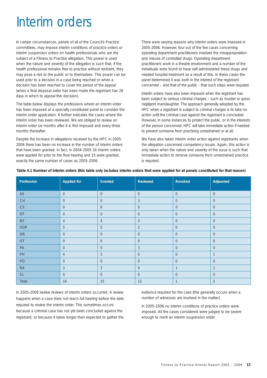## Interim orders

In certain circumstances, panels of all of the Council's Practice committees, may impose interim conditions of practice orders or interim suspension orders on health professionals who are the subject of a Fitness to Practise allegation. This power is used when the nature and severity of the allegation is such that, if the health professional remains free to practise without restraint, they may pose a risk to the public or to themselves. This power can be used prior to a decision in a case being reached or when a decision has been reached to cover the period of the appeal (when a final disposal order has been made the registrant has 28 days in which to appeal this decision).

The table below displays the professions where an interim order has been imposed at a specially constituted panel to consider the interim order application. It further indicates the cases where the interim order has been reviewed. We are obliged to review an interim order six months after it is first imposed and every three months thereafter.

Despite the increase in allegations received by the HPC in 2005- 2006 there has been no increase in the number of interim orders that have been granted. In fact, in 2004-2005 16 interim orders were applied for prior to the final hearing and 15 were granted, exactly the same number of cases as 2005-2006.

There were varying reasons why interim orders were imposed in 2005-2006. However, four out of the five cases concerning operating department practitioners involved the misappropriation and misuse of controlled drugs. Operating department practitioners work in a theatre environment and a number of the individuals were found to have self-administered these drugs and needed hospital treatment as a result of this. In these cases the panel determined it was both in the interest of the registrant concerned – and that of the public - that such steps were required.

Interim orders have also been imposed when the registrant has been subject to serious criminal charges – such as murder or gross negligent manslaughter. The approach generally adopted by the HPC when a registrant is subject to criminal charges is to take no action until the criminal case against the registrant is concluded. However, in some instances to protect the public, or in the interests of the person concerned, HPC will take immediate action if needed to prevent someone from practising unrestrained or at all.

We have also taken interim order action against registrants when the allegation concerned competency issues. Again, this action is only taken when the nature and severity of the issue is such that immediate action to remove someone from unrestrained practice is required.

| Profession                               | <b>Applied for</b> | Granted        | Reviewed       | Revoked        | Adjourned      |
|------------------------------------------|--------------------|----------------|----------------|----------------|----------------|
| AS                                       | $\mathsf{O}$       | $\overline{0}$ | $\overline{0}$ | $\overline{0}$ | $\overline{0}$ |
| $\mathsf{CH}% \left( \mathcal{M}\right)$ | $\overline{0}$     | $\overline{0}$ | $\mathbf{3}$   | $\overline{0}$ | $\overline{0}$ |
| CS                                       | $\overline{0}$     | $\overline{0}$ | $\overline{0}$ | $\overline{0}$ | $\overline{0}$ |
| DT                                       | $\overline{0}$     | $\overline{0}$ | $\overline{0}$ | $\overline{0}$ | $\overline{0}$ |
| <b>BS</b>                                | $\overline{4}$     | $\overline{4}$ | $\overline{4}$ | $\overline{0}$ | $\overline{0}$ |
| ODP                                      | 5                  | 5              | 2              | $\overline{0}$ | $\overline{0}$ |
| ${\sf OR}$                               | $\overline{0}$     | $\overline{0}$ | $\overline{0}$ | $\overline{0}$ | $\overline{0}$ |
| OT                                       | $\overline{0}$     | $\overline{0}$ | $\overline{0}$ | $\overline{0}$ | $\overline{0}$ |
| ${\sf PA}$                               | $\overline{0}$     | $\overline{0}$ | $\mathbf{3}$   | $\overline{0}$ | $\overline{0}$ |
| PH                                       | $\overline{4}$     | $\mathbf{3}$   | $\overline{0}$ | $\overline{0}$ | $\mathbf{1}$   |
| PO                                       | $\overline{0}$     | $\overline{0}$ | $\overline{0}$ | $\overline{0}$ | $\overline{0}$ |
| ${\sf RA}$                               | $\mathbf{3}$       | $\mathbf{3}$   | $\overline{0}$ | $\mathbf{1}$   | $\mathbf{1}$   |
| <b>SL</b>                                | $\overline{0}$     | $\overline{0}$ | $\overline{0}$ | $\overline{0}$ | $\overline{0}$ |
| Total                                    | 16                 | 15             | 12             | $\mathbf{1}$   | 2              |

#### **Table 4.1 Number of interim orders (this table only includes interim orders that were applied for at panels constituted for that reason)**

In 2005-2006 twelve reviews of interim orders occurred. A review happens when a case does not reach full hearing before the date required to review the interim order. This sometimes occurs because a criminal case has not yet been concluded against the registrant, or because it takes longer than expected to gather the

evidence required for the case (this generally occurs when a number of witnesses are involved in the matter).

In 2005-2006 no interim conditions of practice orders were imposed. All the cases considered were judged to be severe enough to merit an interim suspension order.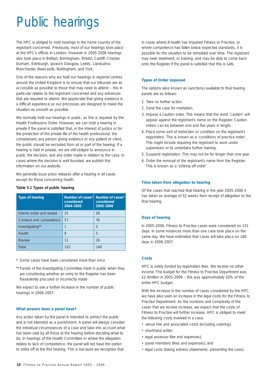# Public hearings

The HPC is obliged to hold hearings in the home country of the registrant concerned. Previously, most of our hearings took place at the HPC's offices in London. However in 2005-2006 hearings also took place in Belfast, Birmingham, Bristol, Cardiff, Chester, Durham, Edinburgh, Ipswich Glasgow, Leeds, Llandudno, Manchester, Newcastle, Nottingham, and York.

One of the reasons why we hold our hearings in regional centres around the United Kingdom is to ensure that our tribunals are as accessible as possible to those that may need to attend – this in particular relates to the registrant concerned and any witnesses that are required to attend. We appreciate that giving evidence is a difficult experience so our processes are designed to make the situation as smooth as possible.

We normally hold our hearings in public, as this is required by the Health Professions Order. However, we can hold a hearing in private if the panel is satisfied that, in the interest of justice or for the protection of the private life of the health professional, the complainant, any person giving evidence or any patient or client, the public should be excluded from all or part of the hearing. If a hearing is held in private, we are still obliged to announce in public the decision, and any order made in relation to the case. In cases where the decision is well founded, we publish this information on our website.

We generally issue press releases after a hearing in all cases except for those concerning health.

| <b>Type of hearing</b>   | Number of cases*<br>considered<br>2004-2005 | Number of cases*<br>considered<br>2005-2006 |
|--------------------------|---------------------------------------------|---------------------------------------------|
| Interim order and review | 25                                          | 28                                          |
| Conduct and competence   | 57                                          | 76                                          |
| Investigating**          | 1                                           | 5                                           |
| <b>Health</b>            | 8                                           | 5                                           |
| <b>Review</b>            | 11                                          | 26                                          |
| Total                    | 102                                         | 140                                         |

#### **Table 5.1 Types of public hearing**

\* Some cases have been considered more than once

\*\* Panels of the Investigating Committee meet in public when they are considering whether an entry to the Register has been fraudulently procured or incorrectly made

We expect to see a further increase in the number of public hearings in 2006-2007.

#### **What powers does a panel have?**

Any action taken by the panel is intended to protect the public and is not intended as a punishment. A panel will always consider the individual circumstances of a case and take into account what has been said by all those at the hearing before deciding what to do. In hearings of the Health Committee or where the allegation relates to lack of competence, the panel will not have the option to strike off at the first hearing. This is because we recognise that

in cases where ill health has impaired Fitness to Practise, or where competence has fallen below expected standards, it is possible for the situation to be remedied over time. The registrant may seek treatment, or training, and may be able to come back onto the Register if the panel is satisfied that this is safe.

#### **Types of Order imposed**

The options (also known as sanctions) available to final hearing panels are as follows:

- 1. Take no further action.
- 2. Send the case for mediation.
- 3. Impose a caution order. This means that the word 'caution' will appear against the registrant's name on the Register. Caution orders can be between one and five years in length.
- 4. Place some sort of restriction or condition on the registrant's registration. This is known as a 'conditions of practice order'. This might include requiring the registrant to work under supervision or to undertake further training.
- 5. Suspend registration. This may not be for longer than one year.
- 6. Order the removal of the registrant's name from the Register. This is known as a 'striking off order'.

#### **Time taken from allegation to hearing**

Of the cases that reached final hearing in the year 2005-2006 it has taken an average of 52 weeks from receipt of allegation to the final hearing.

#### **Days of hearing**

In 2005-2006, Fitness to Practise cases were considered on 151 days. In some instances more than one case took place on the same day. We have estimated that cases will take place on 180 days in 2006-2007.

#### **Costs**

HPC is solely funded by registration fees. We receive no other income. The budget for the Fitness to Practise Department was £2.4million in 2005-2006 – this was approximately 20% of the entire HPC budget.

With the increase in the number of cases considered by the HPC, we have also seen an increase in the legal costs for the Fitness to Practise Department. As the numbers and complexity of the cases that we receive increase, we expect that the costs of Fitness to Practise will further increase. HPC is obliged to meet the following costs involved in a case:

- venue hire and associated costs (including catering);
- shorthand writer;
- legal assessor (fee and expenses);
- panel members (fees and expenses); and
- legal costs (taking witness statements, presenting the case).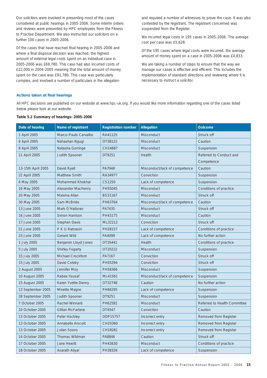Our solicitors were involved in presenting most of the cases considered at public hearings in 2005-2006. Some interim orders and reviews were presented by HPC employees from the Fitness to Practise Department. We also instructed our solicitors on a further 100 cases in 2005-2006.

Of the cases that have reached final hearing in 2005-2006 and where a final disposal decision was reached, the highest amount of external legal costs spent on an individual case in 2005-2006 was £69,780. This case had also incurred costs of £22,000 in 2004-2005 meaning that the total amount of money spent on the case was £91,780. This case was particularly complex, and involved a number of particulars in the allegation

and required a number of witnesses to prove the case. It was also contested by the registrant. The registrant concerned was suspended from the Register.

We incurred legal costs in 195 cases in 2005-2006. The average cost per case was £5,628.

Of the 195 cases where legal costs were incurred, the average amount of money spent on a case in 2005-2006 was £4,833.

We are taking a number of steps to ensure that the way we manage our cases is effective and efficient. This includes the implementation of standard directions and reviewing where it is necessary to instruct a solicitor.

#### **Actions taken at final hearings**

All HPC decisions are published on our website at www.hpc-uk.org. If you would like more information regarding one of the cases listed below please look at our website.

|  | Table 5.2 Summary of hearings: 2005-2006 |  |  |
|--|------------------------------------------|--|--|
|  |                                          |  |  |

| Date of hearing    | Name of registrant     | <b>Registration number</b> | Allegation                    | Outcome                      |
|--------------------|------------------------|----------------------------|-------------------------------|------------------------------|
| 1 April 2005       | Marco-Paulo Carvalho   | RA41125                    | <b>Misconduct</b>             | Struck off                   |
| 6 April 2005       | Nahashan Ngugi         | OT38122                    | <b>Misconduct</b>             | Caution                      |
| 8 April 2005       | Natasha Gorringe       | CH14687                    | <b>Misconduct</b>             | Suspension                   |
| 11 April 2005      | <b>Judith Spooner</b>  | DT9251                     | Health                        | Referred to Conduct and      |
|                    |                        |                            |                               | Competence                   |
| 13-15th April 2005 | David Ryell            | PA7948                     | Misconduct/lack of competence | Caution                      |
| 22 April 2005      | <b>Matthew Smith</b>   | RA34977                    | Conviction                    | Suspension                   |
| 6 May 2005         | Mohammed Khokhar       | CS1250                     | Lack of competence            | Suspension                   |
| 16 May 2005        | Alexander MacHenry     | PH55045                    | Misconduct                    | Conditions of practice       |
| 20 May 2005        | Malvina Allan          | <b>BS31167</b>             | <b>Misconduct</b>             | Struck off                   |
| 30 May 2005        | Sam McBride            | PH63764                    | Misconduct/lack of competence | Caution                      |
| 13 June 2005       | Mark O'Halloran        | PA7435                     | <b>Misconduct</b>             | Struck off                   |
| 16 June 2005       | Simon Harrison         | PH43175                    | Misconduct                    | Caution                      |
| 17 June 2005       | <b>Stephen Davis</b>   | ML32212                    | Conviction                    | Struck off                   |
| 21 June 2005       | P K U Ratnasiri        | PH28157                    | Lack of competence            | Conditions of practice       |
| 23 June 2005       | <b>Gerard Wild</b>     | PA4099                     | Lack of competence            | No further action            |
| 1 July 2005        | Benjamin Lloyd Jones   | OT35441                    | Health                        | Conditions of practice       |
| 5 July 2005        | <b>Shirley Fogarty</b> | OT20222                    | <b>Misconduct</b>             | Suspension                   |
| 15 July 2005       | Michael Crockford      | PA7167                     | Conviction                    | Struck off                   |
| 15 July 2005       | David Coleby           | PH55294                    | Conviction                    | Struck off                   |
| 2 August 2005      | Jennifer Moy           | PH58366                    | <b>Misconduct</b>             | Suspension                   |
| 10 August 2005     | Rabea Yousaf           | ML41561                    | Misconduct/lack of competence | Suspension                   |
| 15 August 2005     | Karen Yvette Denny     | OT32748                    | Caution                       | No further action            |
| 13 September 2005  | Minette Magno          | PH66295                    | Lack of competence            | Suspension                   |
| 28 September 2005  | <b>Judith Spooner</b>  | DT9251                     | <b>Misconduct</b>             | Suspension                   |
| 7 October 2005     | Rachel Winnard         | PH62581                    | <b>Misconduct</b>             | Referred to Health Committee |
| 10 October 2005    | Gillian McFarlane      | DT4547                     | Conviction                    | Caution                      |
| 13 October 2005    | Peter Hockley          | ODP15757                   | Incorrect entry               | Removed from Register        |
| 13 October 2005    | Annabella Arscott      | CH20360                    | Incorrect entry               | Removed from Register        |
| 13 October 2005    | Julian Soons           | CH19281                    | Incorrect entry               | Removed from Register        |
| 14 October 2005    | <b>Thomas Wildman</b>  | PA8846                     | Caution                       | Struck off                   |
| 17 October 2005    | <b>Jane Hewitt</b>     | PH42630                    | <b>Misconduct</b>             | Conditions of practice       |
| 18 October 2005    | Asarath Aliyar         | PH38326                    | Lack of competence            | Suspension                   |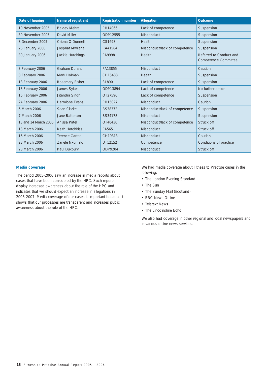| Date of hearing      | Name of registrant     | <b>Registration number</b> | Allegation                    | <b>Outcome</b>                                         |
|----------------------|------------------------|----------------------------|-------------------------------|--------------------------------------------------------|
| 10 November 2005     | <b>Baldev Mehra</b>    | PH14066                    | Lack of competence            | Suspension                                             |
| 30 November 2005     | David Miller           | ODP12555                   | <b>Misconduct</b>             | Suspension                                             |
| 8 December 2005      | Criona O'Donnell       | CS1698                     | Health                        | Suspension                                             |
| 26 January 2006      | Josphat Mwilaria       | RA41564                    | Misconduct/lack of competence | Suspension                                             |
| 30 January 2006      | Jackie Hutchings       | PA9998                     | Health                        | Referred to Conduct and<br><b>Competence Committee</b> |
| 3 February 2006      | <b>Graham Durant</b>   | PA13855                    | Misconduct                    | Caution                                                |
| 8 February 2006      | Mark Holman            | CH15488                    | Health                        | Suspension                                             |
| 13 February 2006     | Rosemary Fisher        | <b>SL890</b>               | Lack of competence            | Suspension                                             |
| 13 February 2006     | James Sykes            | ODP13894                   | Lack of competence            | No further action                                      |
| 16 February 2006     | Jitendra Singh         | OT27596                    | Lack of competence            | Suspension                                             |
| 24 February 2006     | <b>Hermione Evans</b>  | PH15027                    | <b>Misconduct</b>             | Caution                                                |
| 6 March 2006         | Sean Clarke            | <b>BS38372</b>             | Misconduct/lack of competence | Suspension                                             |
| 7 March 2006         | Jane Batterton         | <b>BS34178</b>             | <b>Misconduct</b>             | Suspension                                             |
| 13 and 14 March 2006 | Anissa Patel           | OT40430                    | Misconduct/lack of competence | Struck off                                             |
| 13 March 2006        | <b>Keith Hotchkiss</b> | PA565                      | <b>Misconduct</b>             | Struck off                                             |
| 16 March 2006        | <b>Terence Carter</b>  | CH19313                    | <b>Misconduct</b>             | Caution                                                |
| 23 March 2006        | Zanele Nxumalo         | DT12152                    | Competence                    | Conditions of practice                                 |
| 28 March 2006        | Paul Duxbury           | ODP9204                    | <b>Misconduct</b>             | Struck off                                             |

#### **Media coverage**

The period 2005-2006 saw an increase in media reports about cases that have been considered by the HPC. Such reports display increased awareness about the role of the HPC and indicates that we should expect an increase in allegations in 2006-2007. Media coverage of our cases is important because it shows that our processes are transparent and increases public awareness about the role of the HPC.

We had media coverage about Fitness to Practise cases in the following:

- The London Evening Standard
- The Sun
- The Sunday Mail (Scotland)
- BBC News Online
- Teletext News
- The Lincolnshire Echo

We also had coverage in other regional and local newspapers and in various online news services.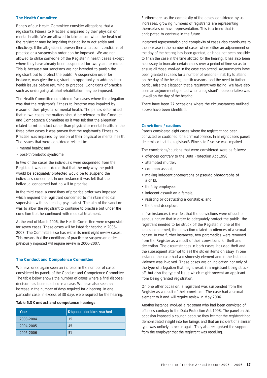#### **The Health Committee**

Panels of our Health Committee consider allegations that a registrant's Fitness to Practise is impaired by their physical or mental health. We are allowed to take action when the health of the registrant may be impairing their ability to act safely and effectively. If the allegation is proven then a caution, conditions of practice or a suspension order can be imposed. We are not allowed to strike someone off the Register in health cases except where they have already been suspended for two years or more. This is because our sanctions are not intended to punish the registrant but to protect the public. A suspension order for instance, may give the registrant an opportunity to address their health issues before returning to practice. Conditions of practice such as undergoing alcohol rehabilitation may be imposed.

The Health Committee considered five cases where the allegation was that the registrant's Fitness to Practise was impaired by reason of their physical or mental health. The panels determined that in two cases the matters should be referred to the Conduct and Competence Committee as it was felt that the allegation related to misconduct rather than physical or mental health. In the three other cases it was proven that the registrant's Fitness to Practise was impaired by reason of their physical or mental health. The issues that were considered related to:

- mental health; and
- post-thrombotic syndrome.

In two of the cases the individuals were suspended from the Register. It was considered that that the only way the public would be adequately protected would be to suspend the individuals concerned. In one instance it was felt that the individual concerned had no will to practise.

In the third case, a conditions of practice order was imposed which required the registrant concerned to maintain medical supervision with his treating psychiatrist. The aim of the sanction was to allow the registrant to continue to practise but under the condition that he continued with medical treatment.

At the end of March 2006, the Health Committee were responsible for seven cases. These cases will be listed for hearing in 2006- 2007. The Committee also has within its remit eight review cases. This means that the conditions of practice or suspension order previously imposed will require review in 2006-2007.

#### **The Conduct and Competence Committee**

We have once again seen an increase in the number of cases considered by panels of the Conduct and Competence Committee. The table below shows the number of cases where a final disposal decision has been reached in a case. We have also seen an increase in the number of days required for a hearing. In one particular case, in excess of 30 days were required for the hearing.

#### **Table 5.3 Conduct and competence hearings**

| Year      | Disposal decision reached |
|-----------|---------------------------|
| 2003-2004 | 15                        |
| 2004-2005 | 45                        |
| 2005-2006 | 51                        |

Furthermore, as the complexity of the cases considered by us increases, growing numbers of registrants are representing themselves or have representation. This is a trend that is anticipated to continue in the future.

Increased representation and complexity of cases also contributes to the increase in the number of cases where either an adjournment on the day of the hearing has been granted, or it has not been possible to finish the case in the time allotted for the hearing. It has also been necessary to truncate certain cases over a period of time so as to ensure all those involved in the case can attend. Adjournments have been granted in cases for a number of reasons - inability to attend on the day of the hearing, health reasons, and the need to further particularise the allegation that a registrant was facing. We have also seen an adjournment granted when a registrant's representative was unwell on the day of the hearing.

There have been 27 occasions where the circumstances outlined above have been identified.

#### **Convictions / cautions**

Panels considered eight cases where the registrant had been convicted or cautioned for a criminal offence. In all eight cases panels determined that the registrant's Fitness to Practise was impaired.

The convictions/cautions that were considered were as follows:

- offences contrary to the Data Protection Act 1998;
- attempted murder;
- common assault;
- making indecent photographs or pseudo photographs of a child;
- theft by employee;
- indecent assault on a female;
- resisting or obstructing a constable; and
- theft and deception.

In five instances it was felt that the convictions were of such a serious nature that in order to adequately protect the public, the registrant needed to be struck off the Register. In one of the cases concerned, the conviction related to offences of a sexual nature. In two further instances, two paramedics were removed from the Register as a result of their convictions for theft and deception. The circumstances in both cases included theft and the subsequent attempt to sell the stolen items on Ebay. In one instance the case had a dishonesty element and in the last case violence was involved. These cases are an indication not only of the type of allegation that might result in a registrant being struck off, but also the type of issue which might prevent an applicant from being granted registration.

On one other occasion, a registrant was suspended from the Register as a result of their conviction. The case had a sexual element to it and will require review in May 2006.

Another instance involved a registrant who had been convicted of offences contrary to the Data Protection Act 1998. The panel on this occasion imposed a caution because they felt that the registrant had demonstrated insight into her failings and that an incident of a similar type was unlikely to occur again. They also recognised the support from the employer that the registrant was receiving.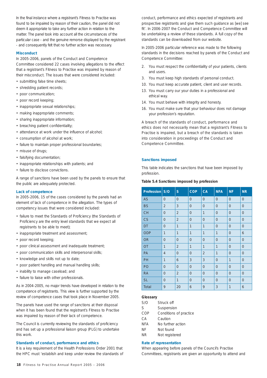In the final instance where a registrant's Fitness to Practise was found to be impaired by reason of their caution, the panel did not deem it appropriate to take any further action in relation to the matter. The panel took into account all the circumstances of the particular case - and the genuine remorse displayed by the registrant - and consequently felt that no further action was necessary.

#### **Misconduct**

In 2005-2006, panels of the Conduct and Competence Committee considered 22 cases involving allegations to the effect that a registrant's Fitness to Practise was impaired by reason of their misconduct. The issues that were considered included:

- submitting false time sheets;
- shredding patient records;
- poor communication;
- poor record keeping;
- inappropriate sexual relationships;
- making inappropriate comments;
- sharing inappropriate information;
- breaching patient confidentiality;
- attendance at work under the influence of alcohol;
- consumption of alcohol at work;
- failure to maintain proper professional boundaries;
- misuse of drugs;
- falsifying documentation;
- inappropriate relationships with patients; and
- failure to disclose convictions.

A range of sanctions have been used by the panels to ensure that the public are adequately protected.

#### **Lack of competence**

In 2005-2006, 15 of the cases considered by the panels had an element of lack of competence in the allegation. The types of competency issues that were considered included:

- failure to meet the Standards of Proficiency (the Standards of Proficiency are the entry level standards that we expect all registrants to be able to meet);
- inappropriate treatment and assessment;
- poor record keeping;
- poor clinical assessment and inadequate treatment;
- poor communication skills and interpersonal skills;
- knowledge and skills not up to date;
- poor patient handling and manual handling skills;
- inability to manage caseload; and
- failure to liaise with other professionals.

As in 2004-2005, no major trends have developed in relation to the competence of registrants. This view is further supported by the review of competence cases that took place in November 2005.

The panels have used the range of sanctions at their disposal when it has been found that the registrant's Fitness to Practise was impaired by reason of their lack of competence.

The Council is currently reviewing the standards of proficiency and has set up a professional liaison group (PLG) to undertake this work.

#### **Standards of conduct, performance and ethics**

It is a key requirement of the Health Professions Order 2001 that the HPC must 'establish and keep under review the standards of conduct, performance and ethics expected of registrants and prospective registrants and give them such guidance as [we] see fit'. In 2006-2007 the Conduct and Competence Committee will be undertaking a review of these standards. A full copy of the standards can be downloaded from our website.

In 2005-2006 particular reference was made to the following standards in the decisions reached by panels of the Conduct and Competence Committee:

- 2. You must respect the confidentiality of your patients, clients and users.
- 3. You must keep high standards of personal conduct.
- 10. You must keep accurate patient, client and user records.
- 13. You must carry our your duties in a professional and ethical way.
- 14. You must behave with integrity and honesty.
- 16. You must make sure that your behaviour does not damage your profession's reputation.

A breach of the standards of conduct, performance and ethics does not necessarily mean that a registrant's Fitness to Practise is impaired, but a breach of the standards is taken into consideration in proceedings of the Conduct and Competence Committee.

#### **Sanctions imposed**

This table indicates the sanctions that have been imposed by profession.

#### **Table 5.4 Sanctions imposed by profession**

| Profession S/O |                | S              | <b>COP</b>     | <b>CA</b>      | <b>NFA</b>     | <b>NF</b>      | <b>NR</b>      |
|----------------|----------------|----------------|----------------|----------------|----------------|----------------|----------------|
| AS             | $\overline{0}$ | $\mathbf 0$    | $\overline{0}$ | $\overline{0}$ | $\overline{0}$ | $\overline{0}$ | $\overline{0}$ |
| <b>BS</b>      | $\overline{2}$ | 3              | $\mathbf 0$    | $\mathbf 0$    | $\overline{0}$ | $\mathbf 0$    | $\mathbf 0$    |
| <b>CH</b>      | $\overline{0}$ | $\overline{2}$ | $\overline{0}$ | $\overline{1}$ | $\overline{0}$ | $\overline{0}$ | $\overline{0}$ |
| CS             | $\overline{0}$ | $\overline{2}$ | $\overline{0}$ | $\mathbf 0$    | $\overline{0}$ | $\mathbf 0$    | $\overline{0}$ |
| DT             | $\mathbf 0$    | $\overline{1}$ | $\overline{1}$ | $\overline{1}$ | $\overline{0}$ | $\mathbf 0$    | $\mathbf 0$    |
| <b>ODP</b>     | $\overline{1}$ | $\overline{1}$ | $\overline{1}$ | $\mathbf{1}$   | $\overline{1}$ | $\mathbf 0$    | 6              |
| <b>OR</b>      | $\overline{0}$ | $\overline{0}$ | $\overline{0}$ | $\overline{0}$ | $\overline{0}$ | $\overline{0}$ | $\overline{0}$ |
| <b>OT</b>      | $\overline{1}$ | $\overline{2}$ | $\overline{1}$ | $\mathbf{1}$   | $\overline{1}$ | $\mathbf 0$    | $\mathbf 0$    |
| PA             | $\overline{4}$ | $\overline{0}$ | $\overline{0}$ | $\overline{2}$ | $\overline{1}$ | $\overline{0}$ | $\mathbf 0$    |
| PH             | 1              | 6              | 3              | 3              | $\overline{0}$ | $\mathbf{1}$   | $\mathbf 0$    |
| PO             | $\overline{0}$ | $\overline{0}$ | $\overline{0}$ | $\overline{0}$ | $\overline{0}$ | $\overline{0}$ | $\overline{0}$ |
| <b>RA</b>      | $\overline{0}$ | $\overline{2}$ | $\overline{0}$ | $\overline{0}$ | $\overline{0}$ | $\mathbf 0$    | $\mathbf 0$    |
| <b>SL</b>      | $\overline{0}$ | 1              | $\overline{0}$ | $\overline{0}$ | $\overline{0}$ | $\overline{0}$ | $\overline{0}$ |
| Total          | 9              | 20             | 6              | 9              | 3              | $\overline{1}$ | 6              |

#### **Glossary**

| S/O        | Struck off             |
|------------|------------------------|
| S          | Suspension             |
| COP        | Conditions of practice |
| CА         | Caution                |
| <b>NFA</b> | No further action      |
| ΝF         | Not found              |
| ΝR         | Not registered         |

#### **Rate of representation**

When appearing before panels of the Council's Practise Committees, registrants are given an opportunity to attend and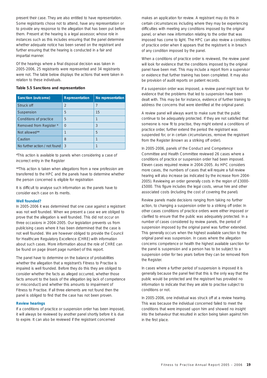present their case. They are also entitled to have representation. Some registrants chose not to attend, have any representation or to provide any response to the allegation that has been put before them. Present at the hearing is a legal assessor, whose role in instances such as this includes ensuring that the panel determine whether adequate notice has been served on the registrant and further ensuring that the hearing is conducted in a fair and impartial manner.

Of the hearings where a final disposal decision was taken in 2005-2006, 25 registrants were represented and 34 registrants were not. The table below displays the actions that were taken in relation to these individuals.

#### **Table 5.5 Sanctions and representation**

| Sanction (outcome)            | Representation | No representation |
|-------------------------------|----------------|-------------------|
| Struck off                    | 2              | 7                 |
| Suspension                    | 5              | 15                |
| Conditions of practice        | 5              |                   |
| Removed from Register *       | $\Omega$       | 3                 |
| Not allowed**                 |                | 5                 |
| Caution                       | 8              |                   |
| No further action / not found | 3              |                   |

\*This action is available to panels when considering a case of incorrect entry in the Register

\*\*This action is taken when allegations from a new profession are transferred to the HPC and the panels have to determine whether the person concerned is eligible for registration

It is difficult to analyse such information as the panels have to consider each case on its merits.

#### **Well founded?**

In 2005-2006 it was determined that one case against a registrant was not well founded. When we present a case we are obliged to prove that the allegation is well founded. This did not occur on three occasions in 2004-2005. Our legislation prevents us from publicising cases where it has been determined that the case is not well founded. We are however obliged to provide the Council for Healthcare Regulatory Excellence (CHRE) with information about such cases. More information about the role of CHRE can be found on page (insert page number) of this report.

The panel have to determine on the balance of probabilities whether the allegation that a registrant's Fitness to Practise is impaired is well founded. Before they do this they are obliged to consider whether the facts as alleged occurred, whether those facts amount to the basis of the allegation (eg lack of competence or misconduct) and whether this amounts to impairment of Fitness to Practise. If all three elements are not found then the panel is obliged to find that the case has not been proven.

#### **Review hearings**

If a conditions of practice or suspension order has been imposed, it will always be reviewed by another panel shortly before it is due to expire. It can also be reviewed if the registrant concerned

makes an application for review. A registrant may do this in certain circumstances including where they may be experiencing difficulties with meeting any conditions imposed by the original panel, or when new information relating to the order that was imposed has come to light. The HPC can also review a conditions of practice order when it appears that the registrant is in breach of any condition imposed by the panel.

When a conditions of practice order is reviewed, the review panel will look for evidence that the conditions imposed by the original panel have been met. This may include a report from a supervisor or evidence that further training has been completed. It may also be provision of audit reports on patient records.

If a suspension order was imposed, a review panel might look for evidence that the problems that led to suspension have been dealt with. This may be for instance, evidence of further training to address the concerns that were identified at the original panel.

A review panel will always want to make sure that the public continue to be adequately protected. If they are not satisfied that someone is now fit to practise, they might extend a conditions of practice order, further extend the period the registrant was suspended for, or in certain circumstances, remove the registrant from the Register (known as a striking off order).

In 2005-2006, panels of the Conduct and Competence Committee and Health Committee reviewed 26 cases where a conditions of practice or suspension order had been imposed. Eleven cases required review in 2004-2005. As HPC considers more cases, the numbers of cases that will require a full review hearing will also increase (as indicated by the increase from 2004- 2005). Reviewing an order generally costs in the region of £3000- £5000. This figure includes the legal costs, venue hire and other associated costs (including the cost of covering the panel).

Review panels made decisions ranging from taking no further action, to changing a suspension order to a striking off order. In other cases conditions of practice orders were either imposed or clarified to ensure that the public was adequately protected. In a number of cases considered by review panels, the period of suspension imposed by the original panel was further extended. This generally occurs when the highest available sanction to the original panel was suspension. In cases where the allegation concerns competence or health the highest available sanction for the panel is suspension and a person has to be subject to a suspension order for two years before they can be removed from the Register.

In cases where a further period of suspension is imposed it is generally because the panel feel that this is the only way that the public would be protected and the registrant has provided no information to indicate that they are able to practise subject to conditions or not.

In 2005-2006, one individual was struck off at a review hearing. This was because the individual concerned failed to meet the conditions that were imposed upon him and showed no insight into the behaviour that resulted in action being taken against him in the first place.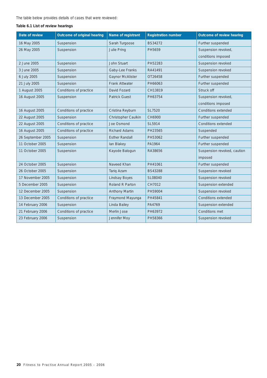The table below provides details of cases that were reviewed:

#### **Table 6.1 List of review hearings**

| Date of review    | Outcome of original hearing | Name of registrant      | <b>Registration number</b> | Outcome of review hearing   |
|-------------------|-----------------------------|-------------------------|----------------------------|-----------------------------|
| 16 May 2005       | Suspension                  | Sarah Turgoose          | BS34272                    | Further suspended           |
| 26 May 2005       | Suspension                  | Julie Pring             | PH5659                     | Suspension revoked,         |
|                   |                             |                         |                            | conditions imposed          |
| 2 June 2005       | Suspension                  | John Stuart             | PH52283                    | Suspension revoked          |
| 3 June 2005       | Suspension                  | Gaby-Lee Franks         | RA41491                    | Suspension revoked          |
| 6 July 2005       | Suspension                  | <b>Gaynor McAlister</b> | OT26458                    | Further suspended           |
| 21 July 2005      | Suspension                  | <b>Frank Attwater</b>   | PH66063                    | Further suspended           |
| 1 August 2005     | Conditions of practice      | David Fozard            | CH13819                    | Struck off                  |
| 16 August 2005    | Suspension                  | <b>Patrick Guest</b>    | PH63754                    | Suspension revoked,         |
|                   |                             |                         |                            | conditions imposed          |
| 16 August 2005    | Conditions of practice      | Cristina Reyburn        | SL7520                     | Conditions extended         |
| 22 August 2005    | Suspension                  | Christopher Caulkin     | CH6900                     | Further suspended           |
| 22 August 2005    | Conditions of practice      | Joe Osmond              | SL5914                     | Conditions extended         |
| 16 August 2005    | Conditions of practice      | <b>Richard Adams</b>    | PH23565                    | Suspended                   |
| 26 September 2005 | Suspension                  | <b>Esther Randall</b>   | PH53062                    | Further suspended           |
| 11 October 2005   | Suspension                  | lan Blakey              | PA1964                     | Further suspended           |
| 11 October 2005   | Suspension                  | Kayode Balogun          | RA38656                    | Suspension revoked, caution |
|                   |                             |                         |                            | imposed                     |
| 24 October 2005   | Suspension                  | Naveed Khan             | PH41061                    | Further suspended           |
| 26 October 2005   | Suspension                  | <b>Tariq Azam</b>       | <b>BS43288</b>             | Suspension revoked          |
| 17 November 2005  | Suspension                  | <b>Lindsay Boyes</b>    | SL08040                    | Suspension revoked          |
| 5 December 2005   | Suspension                  | Roland R Parton         | CH7012                     | Suspension extended         |
| 12 December 2005  | Suspension                  | <b>Anthony Martin</b>   | PH59004                    | Suspension revoked          |
| 13 December 2005  | Conditions of practice      | Fraymond Mayunga        | PH45841                    | Conditions extended         |
| 14 February 2006  | Suspension                  | Linda Bailey            | PA4769                     | Suspension extended         |
| 21 February 2006  | Conditions of practice      | Merlin Jose             | PH63972                    | Conditions met              |
| 23 February 2006  | Suspension                  | Jennifer Moy            | PH58366                    | Suspension revoked          |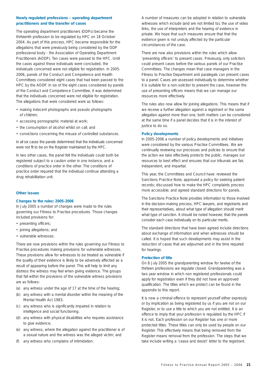#### **Newly regulated professions – operating department practitioners and the transfer of cases**

The operating department practitioners (ODPs) became the thirteenth profession to be regulated by HPC on 18 October 2004. As part of this process, HPC became responsible for the allegations that were previously being considered by the ODP professional body - the Association of Operating Department Practitioners (AODP). Ten cases were passed to the HPC. Until the cases against these individuals were concluded, the individuals concerned were not eligible for registration. In 2005- 2006, panels of the Conduct and Competence and Health Committees considered eight cases that had been passed to the HPC by the AODP. In six of the eight cases considered by panels of the Conduct and Competence Committee, it was determined that the individuals concerned were not eligible for registration. The allegations that were considered were as follows:

- making indecent photographs and pseudo photographs of children;
- accessing pornographic material at work;
- the consumption of alcohol whilst on call; and
- convictions concerning the misuse of controlled substances.

In all six cases the panels determined that the individuals concerned were not fit to be on the Register maintained by the HPC.

In two other cases, the panel felt the individuals could both be registered subject to a caution order in one instance, and a conditions of practice order in the other. The conditions of practice order required that the individual continue attending a drug rehabilitation unit.

#### **Other issues**

#### **Changes to the rules: 2005-2006**

In July 2005 a number of changes were made to the rules governing our Fitness to Practise procedures. Those changes included provisions for:

- presenting officers;
- joining allegations; and
- vulnerable witnesses.

There are now provisions within the rules governing our Fitness to Practise procedures making provisions for vulnerable witnesses. These provisions allow for witnesses to be treated as vulnerable if the quality of their evidence is likely to be adversely affected as a result of appearing before the panel. This will help to limit any distress the witness may feel when giving evidence. The groups that fall within the provisions of the vulnerable witness provisions are as follows:

- (a) any witness under the age of 17 at the time of the hearing;
- (b) any witness with a mental disorder within the meaning of the Mental Health Act 1983;
- (c) any witness who is significantly impaired in relation to intelligence and social functioning;
- (d) any witness with physical disabilities who requires assistance to give evidence;
- (e) any witness, where the allegation against the practitioner is of a sexual nature and the witness was the alleged victim; and
- (f) any witness who complains of intimidation.

A number of measures can be adopted in relation to vulnerable witnesses which include (and are not limited to), the use of video links, the use of interpreters and the hearing of evidence in private. We hope that such measures ensure that that the evidence given is not unduly affected by the particular circumstances of the case.

There are now also provisions within the rules which allow 'presenting officers' to present cases. Previously, only solicitors could present cases before the various panels of our Practise Committees. The changes mean that case managers in the Fitness to Practise Department and paralegals can present cases to a panel. Cases are assessed individually to determine whether it is suitable for a non-solicitor to present the case, however the use of presenting officers means that we can manage our resources more effectively.

The rules also now allow for joining allegations. This means that if we receive a further allegation against a registrant or the same allegation against more than one, both matters can be considered at the same time if a panel decides that it is in the interest of justice to do so.

#### **Policy developments**

In 2005-2006 a number of policy developments and initiatives were considered by the various Practise Committees. We are continually reviewing our processes and policies to ensure that the action we take effectively protects the public, manages our resources to best effect and ensures that our tribunals are fair, independent, and impartial.

This year, the Committees and Council have: reviewed the Sanctions Practice Note; approved a policy for seeking patient records; discussed how to make the HPC complaints process more accessible; and agreed standard directions for panels.

The Sanctions Practice Note provides information to those involved in the decision-making process, HPC lawyers, and registrants and their representatives, about what type of allegation should merit what type of sanction. It should be noted however, that the panels consider each case individually on its particular merits.

The standard directions that have been agreed include directions about exchange of information and when witnesses should be called. It is hoped that such developments may assist in the reduction of cases that are adjourned and in the time required for hearings.

#### **Protection of title**

On 8 July 2005 the grandparenting window for twelve of the thirteen professions we regulate closed. Grandparenting was a two year window in which non registered professionals could apply for registration even if they did not have an approved qualification. The titles which we protect can be found in the appendix to this report.

It is now a criminal offence to represent yourself either expressly or by implication as being registered by us if you are not on our Register, or to use a title to which you are not entitled. It is an offence to imply that your profession is regulated by the HPC if it is not. Each profession on our Register has one or more protected titles. These titles can only be used by people on our Register. This effectively means that being removed from the Register means removal from the profession. The steps that we take include writing a 'cease and desist' letter to the registrant.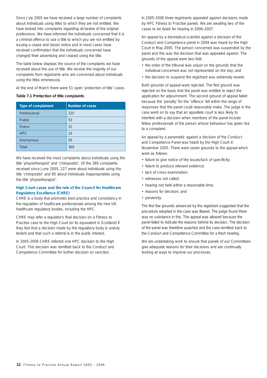Since July 2005 we have received a large number of complaints about individuals using titles to which they are not entitled. We have looked into complaints regarding all twelve of the original professions. We have informed the individuals concerned that it is a criminal offence to use a title to which you are not entitled by issuing a cease and desist notice and in most cases have received confirmation that the individuals concerned have changed their advertising and ceased using the title.

The table below displays the source of the complaints we have received about the use of title. We receive the majority of our complaints from registrants who are concerned about individuals using the titles erroneously.

At the end of March there were 51 open 'protection of title' cases.

#### **Table 7.1 Protection of title complaints**

| Type of complainant | Number of cases |
|---------------------|-----------------|
| Professional        | 225             |
| <b>Public</b>       | 53              |
| Police              | 31              |
| <b>HPC</b>          | 10              |
| Anonymous           | 50              |
| Total               | 369             |

We have received the most complaints about individuals using the title 'physiotherapist' and 'chiropodist'. Of the 369 complaints received since June 2005, 227 were about individuals using the title 'chiropodist' and 85 about individuals inappropriately using the title 'physiotherapist'.

#### **High Court cases and the role of the Council for Healthcare Regulatory Excellence (CHRE)**

CHRE is a body that promotes best practice and consistency in the regulation of healthcare professionals among the nine UK healthcare regulatory bodies, including the HPC.

CHRE may refer a regulator's final decision on a Fitness to Practise case to the High Court (or its equivalent in Scotland) if they feel that a decision made by the regulatory body is unduly lenient and that such a referral is in the public interest.

In 2005-2006 CHRE referred one HPC decision to the High Court. This decision was remitted back to the Conduct and Competence Committee for further decision on sanction.

In 2005-2006 three registrants appealed against decisions made by HPC Fitness to Practise panels. We are awaiting two of the cases to be listed for hearing in 2006-2007.

An appeal by a biomedical scientist against a decision of the Conduct and Competence panel in 2004 was heard by the High Court in May 2005. The person concerned was suspended by the panel and this was the decision that was appealed against. The grounds of the appeal were two fold:

- the order of the tribunal was unjust on the grounds that the individual concerned was not represented on the day; and
- the decision to suspend the registrant was extremely severe.

Both grounds of appeal were rejected. The first ground was rejected on the basis that the panel was entitled to reject the application for adjournment. The second ground of appeal failed because the 'penalty' for the 'offence' fell within the range of responses that the panel could reasonably make. The judge in the case went on to say that an appellate court is less likely to interfere with a decision when members of the panel include fellow professionals of the person whose behaviour has given rise to a complaint.

An appeal by a paramedic against a decision of the Conduct and Competence Panel was heard by the High Court in November 2005. There were seven grounds to the appeal which were as follows:

- failure to give notice of the issues/lack of specificity;
- failure to produce relevant evidence;
- lack of cross-examination;
- witnesses not called;
- hearing not held within a reasonable time;
- reasons for decision; and
- perversity.

The first five grounds advanced by the registrant suggested that the procedure adopted in the case was flawed. The judge found there was no substance in this. The appeal was allowed because the panel failed to indicate the reasons behind its decision. The decision of the panel was therefore quashed and the case remitted back to the Conduct and Competence Committee for a fresh hearing.

We are undertaking work to ensure that panels of our Committees give adequate reasons for their decisions and are continually looking at ways to improve our processes.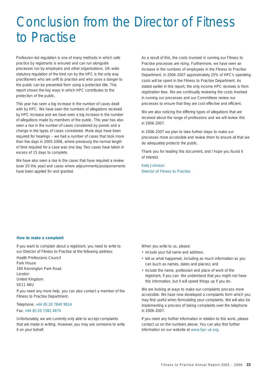## Conclusion from the Director of Fitness to Practise

Profession led regulation is one of many methods in which safe practice by registrants is ensured and can run alongside processes run by employers and other organisations. UK-wide statutory regulation of the kind run by the HPC is the only way practitioners who are unfit to practise and who pose a danger to the public can be prevented from using a protected title. This report shows the key ways in which HPC contributes to the protection of the public.

This year has seen a big increase in the number of cases dealt with by HPC. We have seen the numbers of allegations received by HPC increase and we have seen a big increase in the number of allegations made by members of the public. This year has also seen a rise in the number of cases considered by panels and a change in the types of cases considered. More days have been required for hearings – we had a number of cases that took more than five days in 2005-2006, where previously the normal length of time required for a case was one day. Two cases have taken in excess of 15 days to complete.

We have also seen a rise in the cases that have required a review (over 20 this year) and cases where adjournments/postponements have been applied for and granted.

As a result of this, the costs involved in running our Fitness to Practise processes are rising. Furthermore, we have seen an increase in the numbers of employees in the Fitness to Practise Department. In 2006-2007 approximately 25% of HPC's operating costs will be spent in the Fitness to Practise Department. As stated earlier in this report, the only income HPC receives is from registration fees. We are continually reviewing the costs involved in running our processes and our Committees review our processes to ensure that they are cost effective and efficient.

We are also noticing the differing types of allegations that are received about the range of professions and we will review this in 2006-2007.

In 2006-2007 we plan to take further steps to make our processes more accessible and review them to ensure all that we do adequately protects the public.

Thank you for reading this document, and I hope you found it of interest.

Kelly Johnson Director of Fitness to Practise

#### **How to make a complaint**

If you want to complain about a registrant, you need to write to our Director of Fitness to Practise at the following address:

Health Professions Council Park House 184 Kennington Park Road London United Kingdom SE11 4BU

If you need any more help, you can also contact a member of the Fitness to Practise Department.

#### Telephone: +44 (0) 20 7840 9814 Fax: +44 (0) 20 7582 4874

Unfortunately, we are currently only able to accept complaints that are made in writing. However, you may ask someone to write it on your behalf.

When you write to us, please:

- include your full name and address;
- tell us what happened, including as much information as you can (such as names, dates and places); and
- include the name, profession and place of work of the registrant, if you can. We understand that you might not have this information, but it will speed things up if you do.

We are looking at ways to make our complaints process more accessible. We have now developed a complaints form which you may find useful when formulating your complaints. We will also be implementing a process of taking complaints over the telephone in 2006-2007.

If you need any further information in relation to this work, please contact us on the numbers above. You can also find further information on our website at www.hpc-uk.org.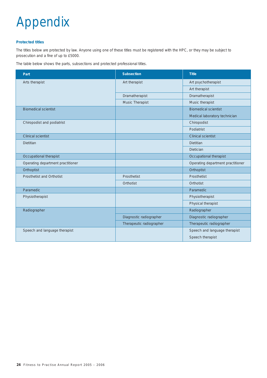# Appendix

#### **Protected titles**

The titles below are protected by law. Anyone using one of these titles must be registered with the HPC, or they may be subject to prosecution and a fine of up to £5000.

The table below shows the parts, subsections and protected professional titles.

| Part                              | Subsection               | <b>Title</b>                      |
|-----------------------------------|--------------------------|-----------------------------------|
| Arts therapist                    | Art therapist            | Art psychotherapist               |
|                                   |                          | Art therapist                     |
|                                   | Dramatherapist           | Dramatherapist                    |
|                                   | Music Therapist          | Music therapist                   |
| <b>Biomedical scientist</b>       |                          | <b>Biomedical scientist</b>       |
|                                   |                          | Medical laboratory technician     |
| Chiropodist and podiatrist        |                          | Chiropodist                       |
|                                   |                          | Podiatrist                        |
| <b>Clinical scientist</b>         |                          | <b>Clinical scientist</b>         |
| <b>Dietitian</b>                  |                          | Dietitian                         |
|                                   |                          | <b>Dietician</b>                  |
| Occupational therapist            |                          | Occupational therapist            |
| Operating department practitioner |                          | Operating department practitioner |
| Orthoptist                        |                          | Orthoptist                        |
| Prosthetist and Orthotist         | Prosthetist              | Prosthetist                       |
|                                   | Orthotist                | Orthotist                         |
| Paramedic                         |                          | Paramedic                         |
| Physiotherapist                   |                          | Physiotherapist                   |
|                                   |                          | Physical therapist                |
| Radiographer                      |                          | Radiographer                      |
|                                   | Diagnostic radiographer  | Diagnostic radiographer           |
|                                   | Therapeutic radiographer | Therapeutic radiographer          |
| Speech and language therapist     |                          | Speech and language therapist     |
|                                   |                          | Speech therapist                  |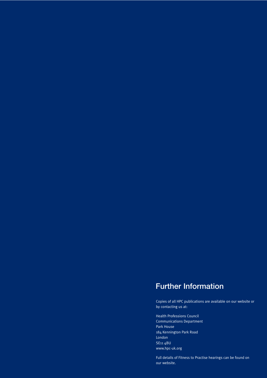### **Further Information**

Copies of all HPC publications are available on our website or by contacting us at:

Health Professions Council Communications Department Park House 184 Kennington Park Road London SE11 4BU www.hpc-uk.org

Full details of Fitness to Practise hearings can be found on our website.